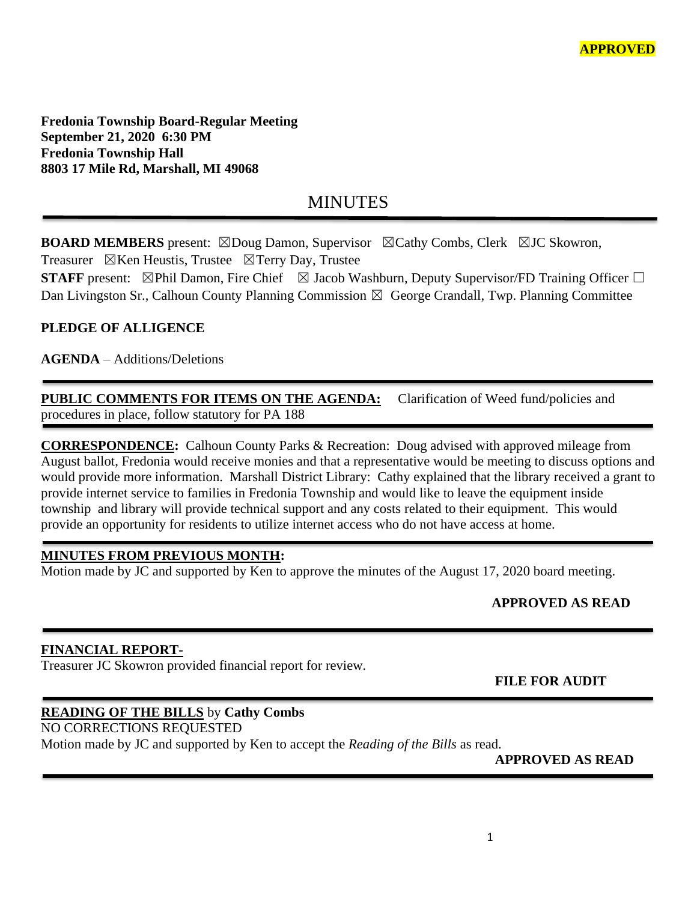**Fredonia Township Board-Regular Meeting September 21, 2020 6:30 PM Fredonia Township Hall 8803 17 Mile Rd, Marshall, MI 49068**

# MINUTES

**BOARD MEMBERS** present: ⊠Doug Damon, Supervisor ⊠Cathy Combs, Clerk ⊠JC Skowron, Treasurer  $\boxtimes$ Ken Heustis, Trustee  $\boxtimes$ Terry Day, Trustee

**STAFF** present:  $\boxtimes$ Phil Damon, Fire Chief  $\boxtimes$  Jacob Washburn, Deputy Supervisor/FD Training Officer  $\Box$ Dan Livingston Sr., Calhoun County Planning Commission  $\boxtimes$  George Crandall, Twp. Planning Committee

## **PLEDGE OF ALLIGENCE**

**AGENDA** – Additions/Deletions

**PUBLIC COMMENTS FOR ITEMS ON THE AGENDA:** Clarification of Weed fund/policies and procedures in place, follow statutory for PA 188

**CORRESPONDENCE:** Calhoun County Parks & Recreation: Doug advised with approved mileage from August ballot, Fredonia would receive monies and that a representative would be meeting to discuss options and would provide more information. Marshall District Library: Cathy explained that the library received a grant to provide internet service to families in Fredonia Township and would like to leave the equipment inside township and library will provide technical support and any costs related to their equipment. This would provide an opportunity for residents to utilize internet access who do not have access at home.

### **MINUTES FROM PREVIOUS MONTH:**

Motion made by JC and supported by Ken to approve the minutes of the August 17, 2020 board meeting.

# **APPROVED AS READ**

### **FINANCIAL REPORT-**

Treasurer JC Skowron provided financial report for review.

 **FILE FOR AUDIT** 

### **READING OF THE BILLS** by **Cathy Combs**

NO CORRECTIONS REQUESTED

Motion made by JC and supported by Ken to accept the *Reading of the Bills* as read.

**APPROVED AS READ**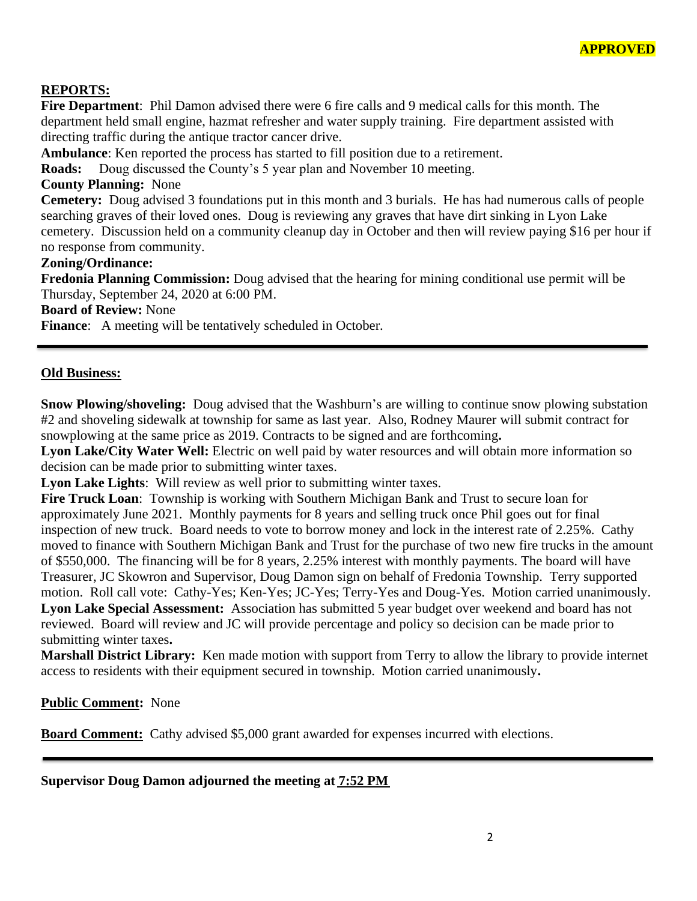

### **REPORTS:**

**Fire Department**: Phil Damon advised there were 6 fire calls and 9 medical calls for this month. The department held small engine, hazmat refresher and water supply training. Fire department assisted with directing traffic during the antique tractor cancer drive.

**Ambulance**: Ken reported the process has started to fill position due to a retirement.

**Roads:** Doug discussed the County's 5 year plan and November 10 meeting.

#### **County Planning:** None

**Cemetery:** Doug advised 3 foundations put in this month and 3 burials. He has had numerous calls of people searching graves of their loved ones. Doug is reviewing any graves that have dirt sinking in Lyon Lake cemetery. Discussion held on a community cleanup day in October and then will review paying \$16 per hour if no response from community.

#### **Zoning/Ordinance:**

**Fredonia Planning Commission:** Doug advised that the hearing for mining conditional use permit will be Thursday, September 24, 2020 at 6:00 PM.

**Board of Review:** None

**Finance:** A meeting will be tentatively scheduled in October.

#### **Old Business:**

**Snow Plowing/shoveling:** Doug advised that the Washburn's are willing to continue snow plowing substation #2 and shoveling sidewalk at township for same as last year. Also, Rodney Maurer will submit contract for snowplowing at the same price as 2019. Contracts to be signed and are forthcoming**.** 

**Lyon Lake/City Water Well:** Electric on well paid by water resources and will obtain more information so decision can be made prior to submitting winter taxes.

**Lyon Lake Lights**: Will review as well prior to submitting winter taxes.

**Fire Truck Loan**: Township is working with Southern Michigan Bank and Trust to secure loan for approximately June 2021. Monthly payments for 8 years and selling truck once Phil goes out for final inspection of new truck. Board needs to vote to borrow money and lock in the interest rate of 2.25%. Cathy moved to finance with Southern Michigan Bank and Trust for the purchase of two new fire trucks in the amount of \$550,000. The financing will be for 8 years, 2.25% interest with monthly payments. The board will have Treasurer, JC Skowron and Supervisor, Doug Damon sign on behalf of Fredonia Township. Terry supported motion. Roll call vote: Cathy-Yes; Ken-Yes; JC-Yes; Terry-Yes and Doug-Yes. Motion carried unanimously. **Lyon Lake Special Assessment:** Association has submitted 5 year budget over weekend and board has not reviewed. Board will review and JC will provide percentage and policy so decision can be made prior to submitting winter taxes**.** 

**Marshall District Library:** Ken made motion with support from Terry to allow the library to provide internet access to residents with their equipment secured in township. Motion carried unanimously**.**

**Public Comment:** None

**Board Comment:** Cathy advised \$5,000 grant awarded for expenses incurred with elections.

**Supervisor Doug Damon adjourned the meeting at 7:52 PM**